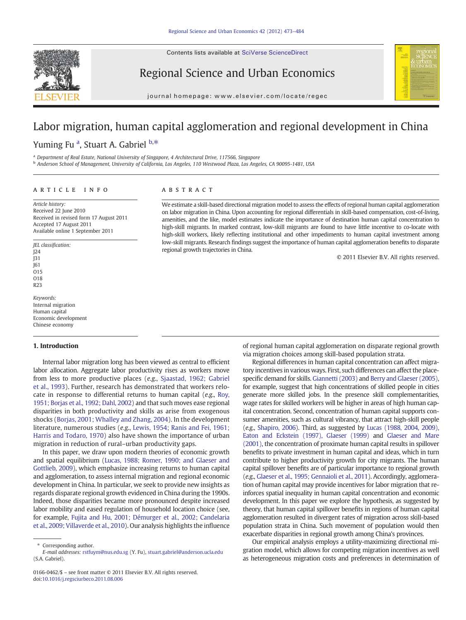Contents lists available at SciVerse ScienceDirect



Regional Science and Urban Economics



journal homepage: www.elsevier.com/locate/regec

## Labor migration, human capital agglomeration and regional development in China

Yuming Fu<sup>a</sup>, Stuart A. Gabriel b,\*

<sup>a</sup> Department of Real Estate, National University of Singapore, 4 Architectural Drive, 117566, Singapore

<sup>b</sup> Anderson School of Management, University of California, Los Angeles, 110 Westwood Plaza, Los Angeles, CA 90095-1481, USA

### article info abstract

Article history: Received 22 June 2010 Received in revised form 17 August 2011 Accepted 17 August 2011 Available online 1 September 2011

JEL classification: J24  $\overline{)}31$ J61  $015$ O18 R23

Keywords: Internal migration Human capital Economic development Chinese economy

### 1. Introduction

Internal labor migration long has been viewed as central to efficient labor allocation. Aggregate labor productivity rises as workers move from less to more productive places (e.g., [Sjaastad, 1962; Gabriel](#page--1-0) [et al., 1993](#page--1-0)). Further, research has demonstrated that workers relocate in response to differential returns to human capital (e.g., [Roy,](#page--1-0) [1951; Borjas et al., 1992; Dahl, 2002](#page--1-0)) and that such moves ease regional disparities in both productivity and skills as arise from exogenous shocks ([Borjas, 2001; Whalley and Zhang, 2004\)](#page--1-0). In the development literature, numerous studies (e.g., [Lewis, 1954; Ranis and Fei, 1961;](#page--1-0) [Harris and Todaro, 1970\)](#page--1-0) also have shown the importance of urban migration in reduction of rural–urban productivity gaps.

In this paper, we draw upon modern theories of economic growth and spatial equilibrium ([Lucas, 1988; Romer, 1990; and Glaeser and](#page--1-0) [Gottlieb, 2009](#page--1-0)), which emphasize increasing returns to human capital and agglomeration, to assess internal migration and regional economic development in China. In particular, we seek to provide new insights as regards disparate regional growth evidenced in China during the 1990s. Indeed, those disparities became more pronounced despite increased labor mobility and eased regulation of household location choice (see, for example, [Fujita and Hu, 2001; Démurger et al., 2002; Candelaria](#page--1-0) [et al., 2009; Villaverde et al., 2010](#page--1-0)). Our analysis highlights the influence

We estimate a skill-based directional migration model to assess the effects of regional human capital agglomeration on labor migration in China. Upon accounting for regional differentials in skill-based compensation, cost-of-living, amenities, and the like, model estimates indicate the importance of destination human capital concentration to high-skill migrants. In marked contrast, low-skill migrants are found to have little incentive to co-locate with high-skill workers, likely reflecting institutional and other impediments to human capital investment among low-skill migrants. Research findings suggest the importance of human capital agglomeration benefits to disparate regional growth trajectories in China.

© 2011 Elsevier B.V. All rights reserved.

of regional human capital agglomeration on disparate regional growth via migration choices among skill-based population strata.

Regional differences in human capital concentration can affect migratory incentives in various ways. First, such differences can affect the placespecific demand for skills. [Giannetti \(2003\)](#page--1-0) and [Berry and Glaeser \(2005\),](#page--1-0) for example, suggest that high concentrations of skilled people in cities generate more skilled jobs. In the presence skill complementarities, wage rates for skilled workers will be higher in areas of high human capital concentration. Second, concentration of human capital supports consumer amenities, such as cultural vibrancy, that attract high-skill people (e.g., [Shapiro, 2006\)](#page--1-0). Third, as suggested by [Lucas \(1988, 2004, 2009\),](#page--1-0) [Eaton and Eckstein \(1997\), Glaeser \(1999\)](#page--1-0) and [Glaeser and Mare](#page--1-0) [\(2001\),](#page--1-0) the concentration of proximate human capital results in spillover benefits to private investment in human capital and ideas, which in turn contribute to higher productivity growth for city migrants. The human capital spillover benefits are of particular importance to regional growth (e.g., [Glaeser et al., 1995; Gennaioli et al., 2011](#page--1-0)). Accordingly, agglomeration of human capital may provide incentives for labor migration that reinforces spatial inequality in human capital concentration and economic development. In this paper we explore the hypothesis, as suggested by theory, that human capital spillover benefits in regions of human capital agglomeration resulted in divergent rates of migration across skill-based population strata in China. Such movement of population would then exacerbate disparities in regional growth among China's provinces.

Our empirical analysis employs a utility-maximizing directional migration model, which allows for competing migration incentives as well as heterogeneous migration costs and preferences in determination of

Corresponding author.

E-mail addresses: [rstfuym@nus.edu.sg](mailto:rstfuym@nus.edu.sg) (Y. Fu), [stuart.gabriel@anderson.ucla.edu](mailto:stuart.gabriel@anderson.ucla.edu) (S.A. Gabriel).

<sup>0166-0462/\$</sup> – see front matter © 2011 Elsevier B.V. All rights reserved. doi:[10.1016/j.regsciurbeco.2011.08.006](http://dx.doi.org/10.1016/j.regsciurbeco.2011.08.006)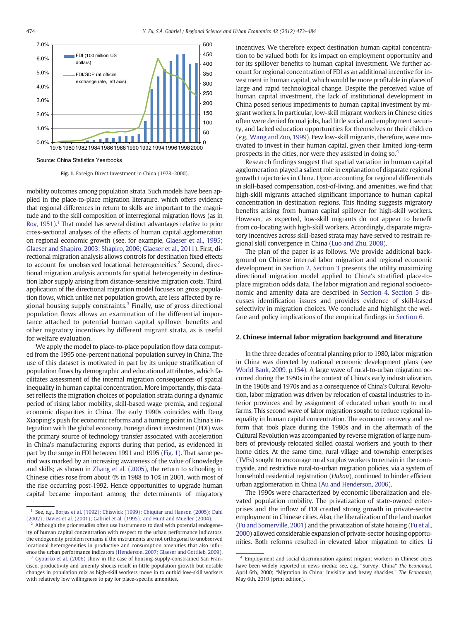

Fig. 1. Foreign Direct Investment in China (1978–2000).

mobility outcomes among population strata. Such models have been applied in the place-to-place migration literature, which offers evidence that regional differences in return to skills are important to the magnitude and to the skill composition of interregional migration flows (as in [Roy, 1951](#page--1-0)).<sup>1</sup> That model has several distinct advantages relative to prior cross-sectional analyses of the effects of human capital agglomeration on regional economic growth (see, for example, [Glaeser et al., 1995;](#page--1-0) [Glaeser and Shapiro, 2003; Shapiro, 2006; Glaeser et al., 2011\)](#page--1-0). First, directional migration analysis allows controls for destination fixed effects to account for unobserved locational heterogeneities. $<sup>2</sup>$  Second, direc-</sup> tional migration analysis accounts for spatial heterogeneity in destination labor supply arising from distance-sensitive migration costs. Third, application of the directional migration model focuses on gross population flows, which unlike net population growth, are less affected by regional housing supply constraints.<sup>3</sup> Finally, use of gross directional population flows allows an examination of the differential importance attached to potential human capital spillover benefits and other migratory incentives by different migrant strata, as is useful for welfare evaluation.

We apply the model to place-to-place population flow data computed from the 1995 one-percent national population survey in China. The use of this dataset is motivated in part by its unique stratification of population flows by demographic and educational attributes, which facilitates assessment of the internal migration consequences of spatial inequality in human capital concentration. More importantly, this dataset reflects the migration choices of population strata during a dynamic period of rising labor mobility, skill-based wage premia, and regional economic disparities in China. The early 1990s coincides with Deng Xiaoping's push for economic reforms and a turning point in China's integration with the global economy. Foreign direct investment (FDI) was the primary source of technology transfer associated with acceleration in China's manufacturing exports during that period, as evidenced in part by the surge in FDI between 1991 and 1995 (Fig. 1). That same period was marked by an increasing awareness of the value of knowledge and skills; as shown in [Zhang et al. \(2005\),](#page--1-0) the return to schooling in Chinese cities rose from about 4% in 1988 to 10% in 2001, with most of the rise occurring post-1992. Hence opportunities to upgrade human capital became important among the determinants of migratory

incentives. We therefore expect destination human capital concentration to be valued both for its impact on employment opportunity and for its spillover benefits to human capital investment. We further account for regional concentration of FDI as an additional incentive for investment in human capital, which would be more profitable in places of large and rapid technological change. Despite the perceived value of human capital investment, the lack of institutional development in China posed serious impediments to human capital investment by migrant workers. In particular, low-skill migrant workers in Chinese cities often were denied formal jobs, had little social and employment security, and lacked education opportunities for themselves or their children (e.g., [Wang and Zuo, 1999\)](#page--1-0). Few low-skill migrants, therefore, were motivated to invest in their human capital, given their limited long-term prospects in the cities, nor were they assisted in doing so.<sup>4</sup>

Research findings suggest that spatial variation in human capital agglomeration played a salient role in explanation of disparate regional growth trajectories in China. Upon accounting for regional differentials in skill-based compensation, cost-of-living, and amenities, we find that high-skill migrants attached significant importance to human capital concentration in destination regions. This finding suggests migratory benefits arising from human capital spillover for high-skill workers. However, as expected, low-skill migrants do not appear to benefit from co-locating with high-skill workers. Accordingly, disparate migratory incentives across skill-based strata may have served to restrain regional skill convergence in China [\(Luo and Zhu, 2008\)](#page--1-0).

The plan of the paper is as follows. We provide additional background on Chinese internal labor migration and regional economic development in Section 2. [Section 3](#page--1-0) presents the utility maximizing directional migration model applied to China's stratified place-toplace migration odds data. The labor migration and regional socioeconomic and amenity data are described in [Section 4.](#page--1-0) [Section 5](#page--1-0) discusses identification issues and provides evidence of skill-based selectivity in migration choices. We conclude and highlight the welfare and policy implications of the empirical findings in [Section 6](#page--1-0).

### 2. Chinese internal labor migration background and literature

In the three decades of central planning prior to 1980, labor migration in China was directed by national economic development plans (see [World Bank, 2009, p.154](#page--1-0)). A large wave of rural-to-urban migration occurred during the 1950s in the context of China's early industrialization. In the 1960s and 1970s and as a consequence of China's Cultural Revolution, labor migration was driven by relocation of coastal industries to interior provinces and by assignment of educated urban youth to rural farms. This second wave of labor migration sought to reduce regional inequality in human capital concentration. The economic recovery and reform that took place during the 1980s and in the aftermath of the Cultural Revolution was accompanied by reverse migration of large numbers of previously relocated skilled coastal workers and youth to their home cities. At the same time, rural village and township enterprises (TVEs) sought to encourage rural surplus workers to remain in the countryside, and restrictive rural-to-urban migration policies, via a system of household residential registration (Hukou), continued to hinder efficient urban agglomeration in China ([Au and Henderson, 2006](#page--1-0)).

The 1990s were characterized by economic liberalization and elevated population mobility. The privatization of state-owned enterprises and the inflow of FDI created strong growth in private-sector employment in Chinese cities. Also, the liberalization of the land market [\(Fu and Somerville, 2001\)](#page--1-0) and the privatization of state housing [\(Fu et al.,](#page--1-0) [2000](#page--1-0)) allowed considerable expansion of private-sector housing opportunities. Both reforms resulted in elevated labor migration to cities. [Li](#page--1-0)

<sup>&</sup>lt;sup>1</sup> See, e.g., [Borjas et al. \(1992\); Chiswick \(1999\); Chiquiar and Hanson \(2005\); Dahl](#page--1-0) [\(2002\); Davies et al. \(2001\); Gabriel et al. \(1995\); and Hunt and Mueller \(2004\)](#page--1-0).

 $2$  Although the prior studies often use instruments to deal with potential endogeneity of human capital concentration with respect to the urban performance indicators, the endogeneity problem remains if the instruments are not orthogonal to unobserved locational heterogeneities in productive and consumption amenities that also influence the urban performance indicators ([Henderson, 2007; Glaeser and Gottlieb, 2009\)](#page--1-0).

<sup>&</sup>lt;sup>3</sup> [Gyourko et al. \(2006\)](#page--1-0) show in the case of housing-supply-constrained San Francisco, productivity and amenity shocks result in little population growth but notable changes in population mix as high-skill workers move in to outbid low-skill workers with relatively low willingness to pay for place-specific amenities.

<sup>4</sup> Employment and social discrimination against migrant workers in Chinese cities have been widely reported in news media; see, e.g., "Survey: China" The Economist, April 6th, 2000; "Migration in China: Invisible and heavy shackles." The Economist, May 6th, 2010 (print edition).